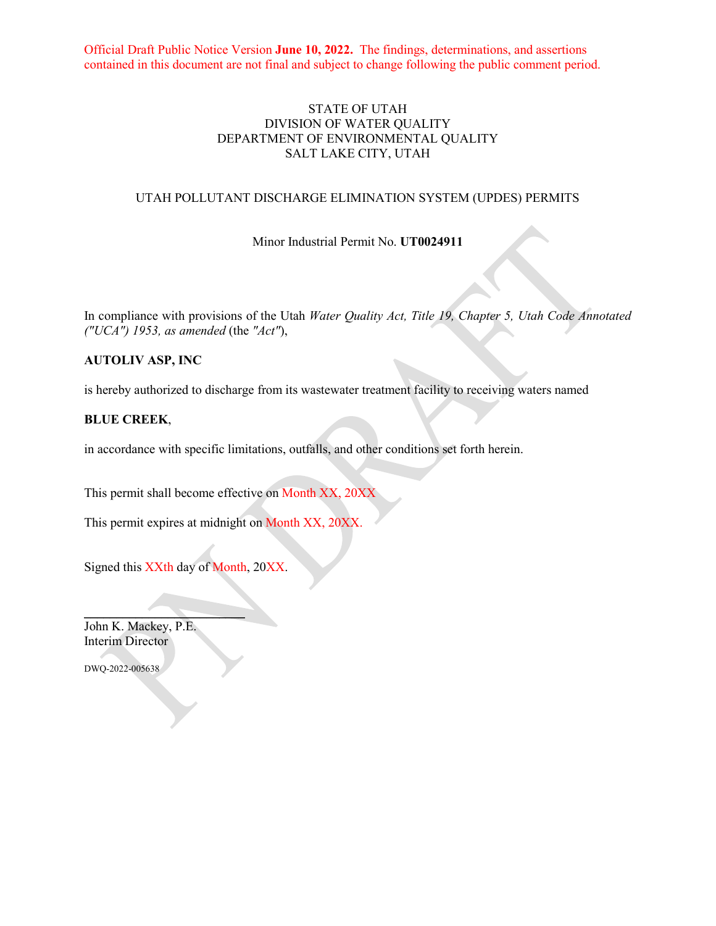Official Draft Public Notice Version **June 10, 2022.** The findings, determinations, and assertions contained in this document are not final and subject to change following the public comment period.

## STATE OF UTAH DIVISION OF WATER QUALITY DEPARTMENT OF ENVIRONMENTAL QUALITY SALT LAKE CITY, UTAH

#### UTAH POLLUTANT DISCHARGE ELIMINATION SYSTEM (UPDES) PERMITS

Minor Industrial Permit No. **UT0024911**

In compliance with provisions of the Utah *Water Quality Act, Title 19, Chapter 5, Utah Code Annotated ("UCA") 1953, as amended* (the *"Act"*),

## **AUTOLIV ASP, INC**

is hereby authorized to discharge from its wastewater treatment facility to receiving waters named

#### **BLUE CREEK**,

in accordance with specific limitations, outfalls, and other conditions set forth herein.

This permit shall become effective on Month XX, 20XX

This permit expires at midnight on Month XX, 20XX.

Signed this XXth day of Month, 20XX.

 $\mathcal{L}=\mathcal{L}$ 

John K. Mackey, P.E. Interim Director

DWQ-2022-005638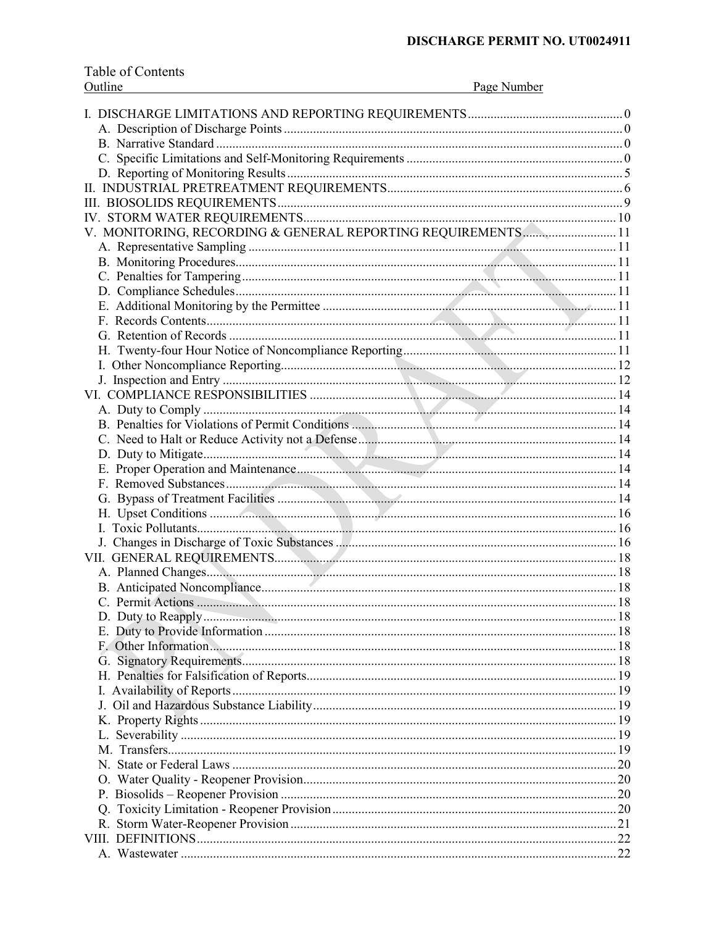| Outline<br>Page Number                                       |  |
|--------------------------------------------------------------|--|
|                                                              |  |
|                                                              |  |
|                                                              |  |
|                                                              |  |
|                                                              |  |
|                                                              |  |
|                                                              |  |
|                                                              |  |
| V. MONITORING, RECORDING & GENERAL REPORTING REQUIREMENTS 11 |  |
|                                                              |  |
|                                                              |  |
|                                                              |  |
|                                                              |  |
|                                                              |  |
|                                                              |  |
|                                                              |  |
|                                                              |  |
|                                                              |  |
|                                                              |  |
|                                                              |  |
|                                                              |  |
|                                                              |  |
|                                                              |  |
|                                                              |  |
|                                                              |  |
|                                                              |  |
|                                                              |  |
|                                                              |  |
|                                                              |  |
|                                                              |  |
|                                                              |  |
|                                                              |  |
|                                                              |  |
|                                                              |  |
|                                                              |  |
|                                                              |  |
|                                                              |  |
|                                                              |  |
|                                                              |  |
|                                                              |  |
|                                                              |  |
|                                                              |  |
|                                                              |  |
|                                                              |  |
|                                                              |  |
|                                                              |  |
|                                                              |  |
|                                                              |  |
|                                                              |  |
|                                                              |  |
|                                                              |  |

Table of Contents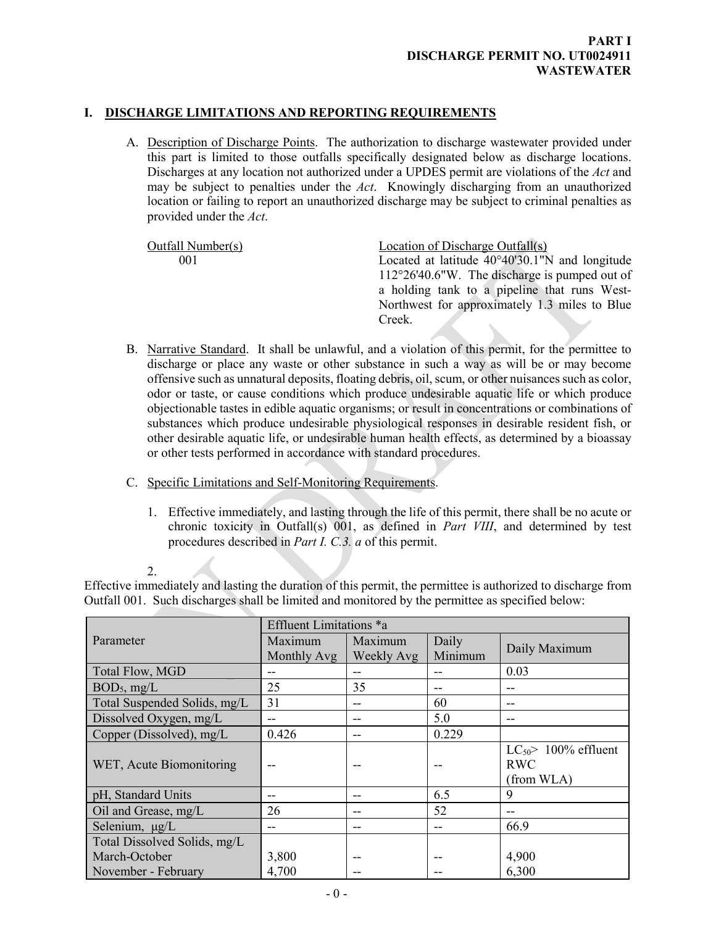# **I. DISCHARGE LIMITATIONS AND REPORTING REQUIREMENTS**

<span id="page-2-1"></span><span id="page-2-0"></span>A. Description of Discharge Points. The authorization to discharge wastewater provided under this part is limited to those outfalls specifically designated below as discharge locations. Discharges at any location not authorized under a UPDES permit are violations of the *Act* and may be subject to penalties under the *Act*. Knowingly discharging from an unauthorized location or failing to report an unauthorized discharge may be subject to criminal penalties as provided under the *Act*.

| Outfall Number(s) | Location of Discharge Outfall(s)                         |
|-------------------|----------------------------------------------------------|
| 001               | Located at latitude $40^{\circ}40'30.1''N$ and longitude |
|                   | $112^{\circ}26'40.6''W$ . The discharge is pumped out of |
|                   | a holding tank to a pipeline that runs West-             |
|                   | Northwest for approximately 1.3 miles to Blue            |
|                   | Creek.                                                   |

- <span id="page-2-2"></span>B. Narrative Standard. It shall be unlawful, and a violation of this permit, for the permittee to discharge or place any waste or other substance in such a way as will be or may become offensive such as unnatural deposits, floating debris, oil, scum, or other nuisances such as color, odor or taste, or cause conditions which produce undesirable aquatic life or which produce objectionable tastes in edible aquatic organisms; or result in concentrations or combinations of substances which produce undesirable physiological responses in desirable resident fish, or other desirable aquatic life, or undesirable human health effects, as determined by a bioassay or other tests performed in accordance with standard procedures.
- C. Specific Limitations and Self-Monitoring Requirements.
	- 1. Effective immediately, and lasting through the life of this permit, there shall be no acute or chronic toxicity in Outfall(s) 001, as defined in *Part VIII*, and determined by test procedures described in *Part I. C.3. a* of this permit.

Effective immediately and lasting the duration of this permit, the permittee is authorized to discharge from Outfall 001. Such discharges shall be limited and monitored by the permittee as specified below:

|                              | Effluent Limitations *a |                       |                  |                                                     |
|------------------------------|-------------------------|-----------------------|------------------|-----------------------------------------------------|
| Parameter                    | Maximum<br>Monthly Avg  | Maximum<br>Weekly Avg | Daily<br>Minimum | Daily Maximum                                       |
| Total Flow, MGD              |                         | --                    | --               | 0.03                                                |
| $BOD_5$ , mg/L               | 25                      | 35                    | --               | --                                                  |
| Total Suspended Solids, mg/L | 31                      | --                    | 60               | --                                                  |
| Dissolved Oxygen, mg/L       |                         | --                    | 5.0              | --                                                  |
| Copper (Dissolved), mg/L     | 0.426                   | --                    | 0.229            |                                                     |
| WET, Acute Biomonitoring     |                         |                       |                  | $LC_{50}$ 100% effluent<br><b>RWC</b><br>(from WLA) |
| pH, Standard Units           |                         | --                    | 6.5              | 9                                                   |
| Oil and Grease, mg/L         | 26                      | --                    | 52               |                                                     |
| Selenium, µg/L               |                         | --                    | --               | 66.9                                                |
| Total Dissolved Solids, mg/L |                         |                       |                  |                                                     |
| March-October                | 3,800                   |                       | --               | 4,900                                               |
| November - February          | 4,700                   |                       |                  | 6,300                                               |

<span id="page-2-3"></span><sup>2.</sup>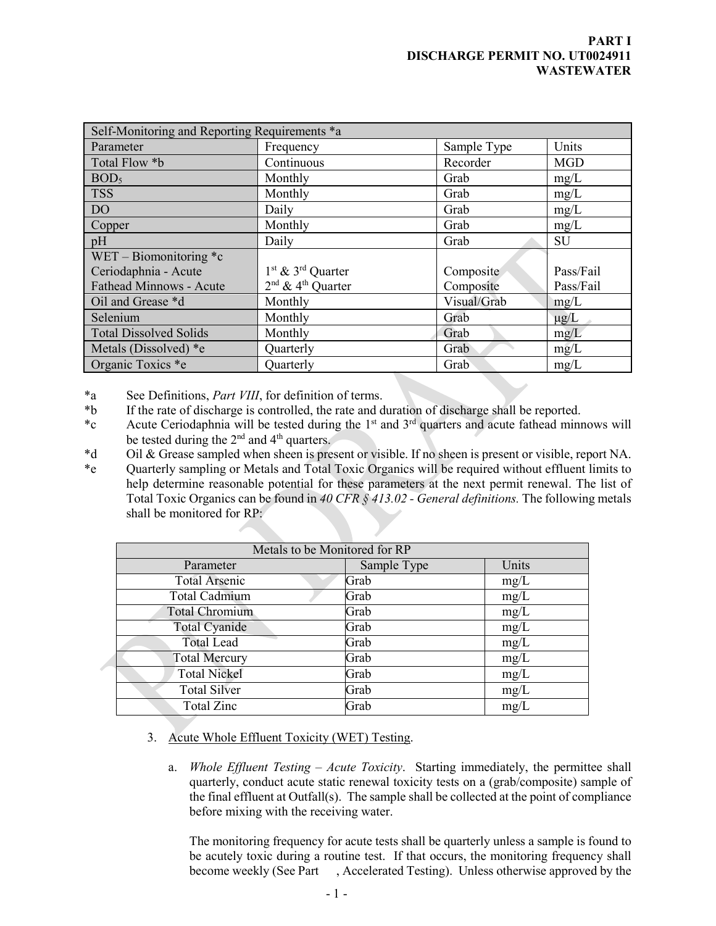## **PART I DISCHARGE PERMIT NO. UT0024911 WASTEWATER**

| Self-Monitoring and Reporting Requirements *a |                                           |             |            |  |
|-----------------------------------------------|-------------------------------------------|-------------|------------|--|
| Parameter                                     | Frequency                                 | Sample Type | Units      |  |
| Total Flow *b                                 | Continuous                                | Recorder    | <b>MGD</b> |  |
| BOD <sub>5</sub>                              | Monthly                                   | Grab        | mg/L       |  |
| <b>TSS</b>                                    | Monthly                                   | Grab        | mg/L       |  |
| D <sub>O</sub>                                | Daily                                     | Grab        | mg/L       |  |
| Copper                                        | Monthly                                   | Grab        | mg/L       |  |
| pH                                            | Daily                                     | Grab        | SU         |  |
| WET – Biomonitoring $\text{*c}$               |                                           |             |            |  |
| Ceriodaphnia - Acute                          | 1 <sup>st</sup> & 3 <sup>rd</sup> Quarter | Composite   | Pass/Fail  |  |
| <b>Fathead Minnows - Acute</b>                | $2nd$ & 4 <sup>th</sup> Ouarter           | Composite   | Pass/Fail  |  |
| Oil and Grease *d                             | Monthly                                   | Visual/Grab | mg/L       |  |
| Selenium                                      | Monthly                                   | Grab        | $\mu$ g/L  |  |
| <b>Total Dissolved Solids</b>                 | Monthly                                   | Grab        | mg/L       |  |
| Metals (Dissolved) *e                         | Quarterly                                 | Grab        | mg/L       |  |
| Organic Toxics *e                             | Quarterly                                 | Grab        | mg/L       |  |

\*a See Definitions, *Part VIII*, for definition of terms.

- \*b If the rate of discharge is controlled, the rate and duration of discharge shall be reported.
- \*c Acute Ceriodaphnia will be tested during the 1st and 3rd quarters and acute fathead minnows will be tested during the  $2<sup>nd</sup>$  and  $4<sup>th</sup>$  quarters.
- \*d Oil & Grease sampled when sheen is present or visible. If no sheen is present or visible, report NA.

\*e Quarterly sampling or Metals and Total Toxic Organics will be required without effluent limits to help determine reasonable potential for these parameters at the next permit renewal. The list of Total Toxic Organics can be found in *40 CFR § 413.02 - General definitions.* The following metals shall be monitored for RP:

| Metals to be Monitored for RP |             |       |  |  |
|-------------------------------|-------------|-------|--|--|
| Parameter                     | Sample Type | Units |  |  |
| <b>Total Arsenic</b>          | Grab        | mg/L  |  |  |
| <b>Total Cadmium</b>          | Grab        | mg/L  |  |  |
| Total Chromium                | Grab        | mg/L  |  |  |
| Total Cyanide                 | Grab        | mg/L  |  |  |
| <b>Total Lead</b>             | Grab        | mg/L  |  |  |
| <b>Total Mercury</b>          | Grab        | mg/L  |  |  |
| <b>Total Nickel</b>           | Grab        | mg/L  |  |  |
| <b>Total Silver</b>           | Grab        | mg/L  |  |  |
| <b>Total Zinc</b>             | Grab        | mg/L  |  |  |

- 3. Acute Whole Effluent Toxicity (WET) Testing.
	- a. *Whole Effluent Testing Acute Toxicity*. Starting immediately, the permittee shall quarterly, conduct acute static renewal toxicity tests on a (grab/composite) sample of the final effluent at Outfall(s). The sample shall be collected at the point of compliance before mixing with the receiving water.

The monitoring frequency for acute tests shall be quarterly unless a sample is found to be acutely toxic during a routine test. If that occurs, the monitoring frequency shall become weekly (See Part , Accelerated Testing). Unless otherwise approved by the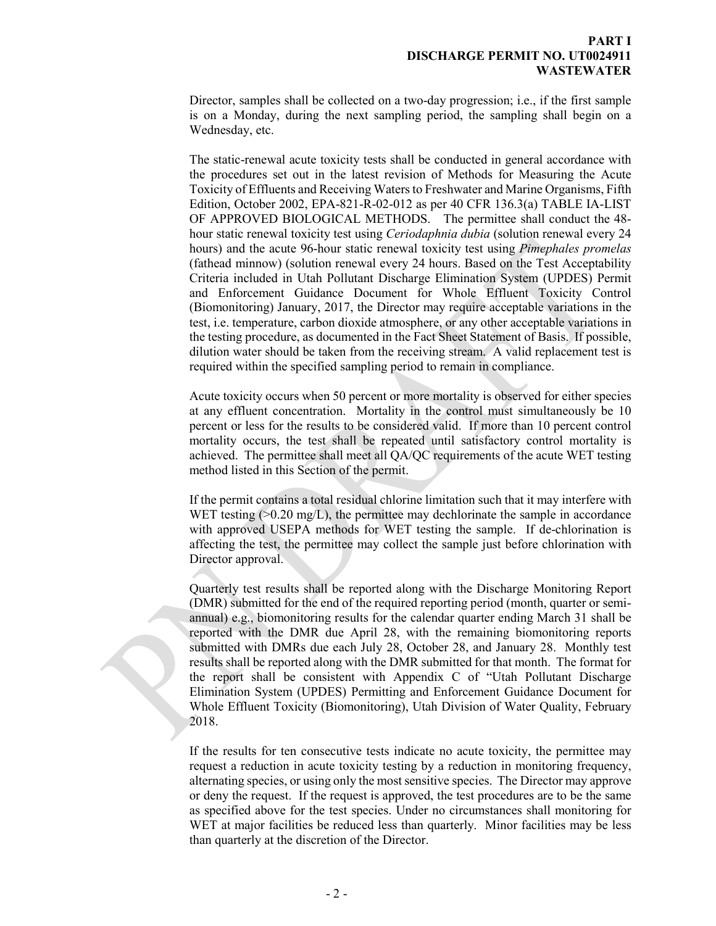#### **PART I DISCHARGE PERMIT NO. UT0024911 WASTEWATER**

Director, samples shall be collected on a two-day progression; i.e., if the first sample is on a Monday, during the next sampling period, the sampling shall begin on a Wednesday, etc.

The static-renewal acute toxicity tests shall be conducted in general accordance with the procedures set out in the latest revision of Methods for Measuring the Acute Toxicity of Effluents and Receiving Waters to Freshwater and Marine Organisms, Fifth Edition, October 2002, EPA-821-R-02-012 as per 40 CFR 136.3(a) TABLE IA-LIST OF APPROVED BIOLOGICAL METHODS. The permittee shall conduct the 48 hour static renewal toxicity test using *Ceriodaphnia dubia* (solution renewal every 24 hours) and the acute 96-hour static renewal toxicity test using *Pimephales promelas* (fathead minnow) (solution renewal every 24 hours. Based on the Test Acceptability Criteria included in Utah Pollutant Discharge Elimination System (UPDES) Permit and Enforcement Guidance Document for Whole Effluent Toxicity Control (Biomonitoring) January, 2017, the Director may require acceptable variations in the test, i.e. temperature, carbon dioxide atmosphere, or any other acceptable variations in the testing procedure, as documented in the Fact Sheet Statement of Basis. If possible, dilution water should be taken from the receiving stream. A valid replacement test is required within the specified sampling period to remain in compliance.

Acute toxicity occurs when 50 percent or more mortality is observed for either species at any effluent concentration. Mortality in the control must simultaneously be 10 percent or less for the results to be considered valid. If more than 10 percent control mortality occurs, the test shall be repeated until satisfactory control mortality is achieved. The permittee shall meet all QA/QC requirements of the acute WET testing method listed in this Section of the permit.

If the permit contains a total residual chlorine limitation such that it may interfere with WET testing  $(0.20 \text{ mg/L})$ , the permittee may dechlorinate the sample in accordance with approved USEPA methods for WET testing the sample. If de-chlorination is affecting the test, the permittee may collect the sample just before chlorination with Director approval.

Quarterly test results shall be reported along with the Discharge Monitoring Report (DMR) submitted for the end of the required reporting period (month, quarter or semiannual) e.g., biomonitoring results for the calendar quarter ending March 31 shall be reported with the DMR due April 28, with the remaining biomonitoring reports submitted with DMRs due each July 28, October 28, and January 28. Monthly test results shall be reported along with the DMR submitted for that month. The format for the report shall be consistent with Appendix C of "Utah Pollutant Discharge Elimination System (UPDES) Permitting and Enforcement Guidance Document for Whole Effluent Toxicity (Biomonitoring), Utah Division of Water Quality, February 2018.

If the results for ten consecutive tests indicate no acute toxicity, the permittee may request a reduction in acute toxicity testing by a reduction in monitoring frequency, alternating species, or using only the most sensitive species. The Director may approve or deny the request. If the request is approved, the test procedures are to be the same as specified above for the test species. Under no circumstances shall monitoring for WET at major facilities be reduced less than quarterly. Minor facilities may be less than quarterly at the discretion of the Director.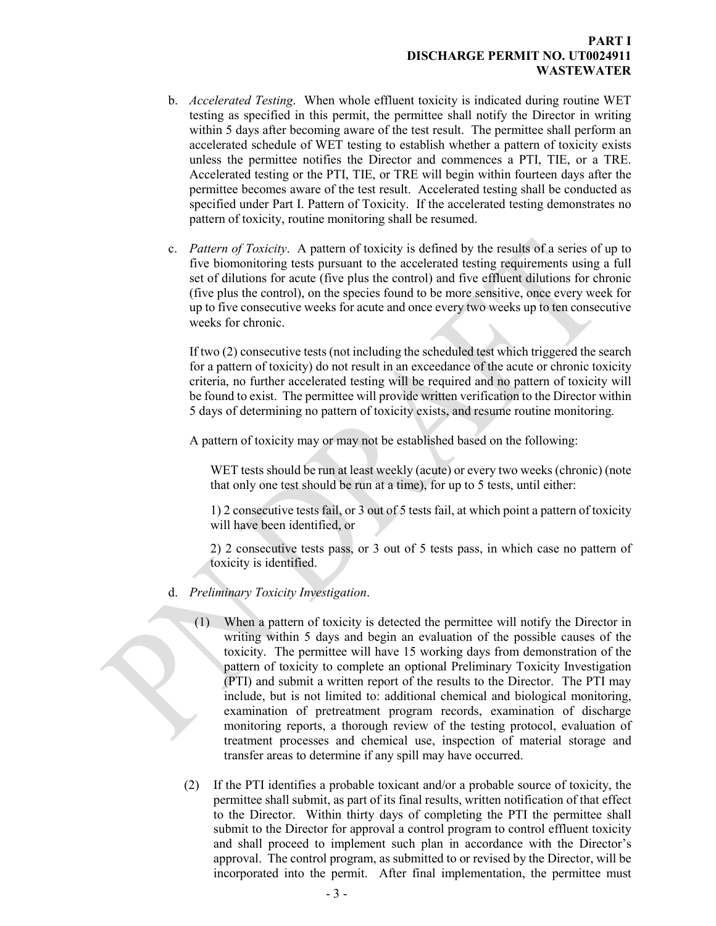#### **PART I DISCHARGE PERMIT NO. UT0024911 WASTEWATER**

- b. *Accelerated Testing*. When whole effluent toxicity is indicated during routine WET testing as specified in this permit, the permittee shall notify the Director in writing within 5 days after becoming aware of the test result. The permittee shall perform an accelerated schedule of WET testing to establish whether a pattern of toxicity exists unless the permittee notifies the Director and commences a PTI, TIE, or a TRE. Accelerated testing or the PTI, TIE, or TRE will begin within fourteen days after the permittee becomes aware of the test result. Accelerated testing shall be conducted as specified under Part I. Pattern of Toxicity. If the accelerated testing demonstrates no pattern of toxicity, routine monitoring shall be resumed.
- c. *Pattern of Toxicity*. A pattern of toxicity is defined by the results of a series of up to five biomonitoring tests pursuant to the accelerated testing requirements using a full set of dilutions for acute (five plus the control) and five effluent dilutions for chronic (five plus the control), on the species found to be more sensitive, once every week for up to five consecutive weeks for acute and once every two weeks up to ten consecutive weeks for chronic.

If two (2) consecutive tests (not including the scheduled test which triggered the search for a pattern of toxicity) do not result in an exceedance of the acute or chronic toxicity criteria, no further accelerated testing will be required and no pattern of toxicity will be found to exist. The permittee will provide written verification to the Director within 5 days of determining no pattern of toxicity exists, and resume routine monitoring.

A pattern of toxicity may or may not be established based on the following:

WET tests should be run at least weekly (acute) or every two weeks (chronic) (note that only one test should be run at a time), for up to 5 tests, until either:

1) 2 consecutive tests fail, or 3 out of 5 tests fail, at which point a pattern of toxicity will have been identified, or

2) 2 consecutive tests pass, or 3 out of 5 tests pass, in which case no pattern of toxicity is identified.

- d. *Preliminary Toxicity Investigation*.
	- (1) When a pattern of toxicity is detected the permittee will notify the Director in writing within 5 days and begin an evaluation of the possible causes of the toxicity. The permittee will have 15 working days from demonstration of the pattern of toxicity to complete an optional Preliminary Toxicity Investigation (PTI) and submit a written report of the results to the Director. The PTI may include, but is not limited to: additional chemical and biological monitoring, examination of pretreatment program records, examination of discharge monitoring reports, a thorough review of the testing protocol, evaluation of treatment processes and chemical use, inspection of material storage and transfer areas to determine if any spill may have occurred.
	- (2) If the PTI identifies a probable toxicant and/or a probable source of toxicity, the permittee shall submit, as part of its final results, written notification of that effect to the Director. Within thirty days of completing the PTI the permittee shall submit to the Director for approval a control program to control effluent toxicity and shall proceed to implement such plan in accordance with the Director's approval. The control program, as submitted to or revised by the Director, will be incorporated into the permit. After final implementation, the permittee must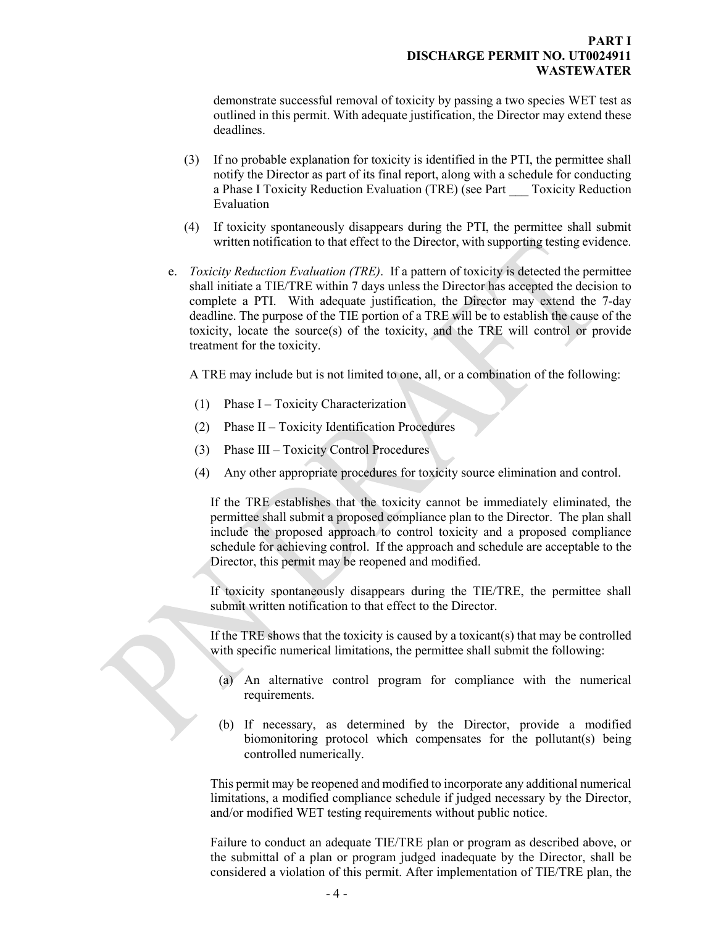demonstrate successful removal of toxicity by passing a two species WET test as outlined in this permit. With adequate justification, the Director may extend these deadlines.

- (3) If no probable explanation for toxicity is identified in the PTI, the permittee shall notify the Director as part of its final report, along with a schedule for conducting a Phase I Toxicity Reduction Evaluation (TRE) (see Part \_\_\_ Toxicity Reduction Evaluation
- (4) If toxicity spontaneously disappears during the PTI, the permittee shall submit written notification to that effect to the Director, with supporting testing evidence.
- e. *Toxicity Reduction Evaluation (TRE)*. If a pattern of toxicity is detected the permittee shall initiate a TIE/TRE within 7 days unless the Director has accepted the decision to complete a PTI. With adequate justification, the Director may extend the 7-day deadline. The purpose of the TIE portion of a TRE will be to establish the cause of the toxicity, locate the source(s) of the toxicity, and the TRE will control or provide treatment for the toxicity.

A TRE may include but is not limited to one, all, or a combination of the following:

- (1) Phase I Toxicity Characterization
- (2) Phase II Toxicity Identification Procedures
- (3) Phase III Toxicity Control Procedures
- (4) Any other appropriate procedures for toxicity source elimination and control.

If the TRE establishes that the toxicity cannot be immediately eliminated, the permittee shall submit a proposed compliance plan to the Director. The plan shall include the proposed approach to control toxicity and a proposed compliance schedule for achieving control. If the approach and schedule are acceptable to the Director, this permit may be reopened and modified.

If toxicity spontaneously disappears during the TIE/TRE, the permittee shall submit written notification to that effect to the Director.

If the TRE shows that the toxicity is caused by a toxicant(s) that may be controlled with specific numerical limitations, the permittee shall submit the following:

- (a) An alternative control program for compliance with the numerical requirements.
- (b) If necessary, as determined by the Director, provide a modified biomonitoring protocol which compensates for the pollutant(s) being controlled numerically.

This permit may be reopened and modified to incorporate any additional numerical limitations, a modified compliance schedule if judged necessary by the Director, and/or modified WET testing requirements without public notice.

Failure to conduct an adequate TIE/TRE plan or program as described above, or the submittal of a plan or program judged inadequate by the Director, shall be considered a violation of this permit. After implementation of TIE/TRE plan, the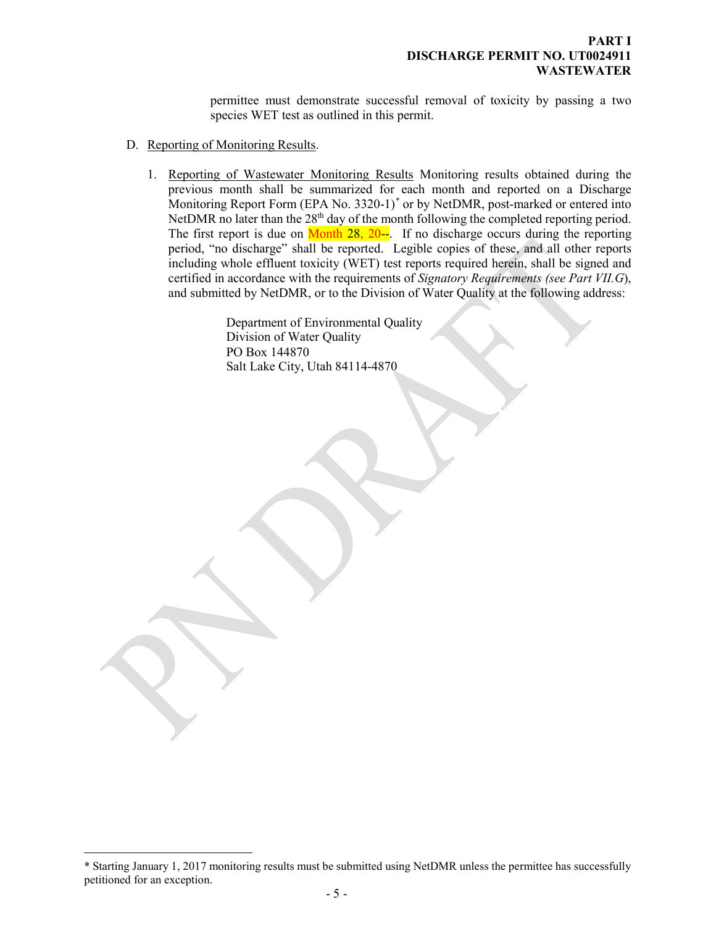<span id="page-7-0"></span>permittee must demonstrate successful removal of toxicity by passing a two species WET test as outlined in this permit.

- D. Reporting of Monitoring Results.
	- 1. Reporting of Wastewater Monitoring Results Monitoring results obtained during the previous month shall be summarized for each month and reported on a Discharge Monitoring Report Form (EPA No. 3320-1)<sup>[\\*](#page-7-1)</sup> or by NetDMR, post-marked or entered into NetDMR no later than the  $28<sup>th</sup>$  day of the month following the completed reporting period. The first report is due on  $Month 28, 20-$ . If no discharge occurs during the reporting</u> period, "no discharge" shall be reported. Legible copies of these, and all other reports including whole effluent toxicity (WET) test reports required herein, shall be signed and certified in accordance with the requirements of *Signatory Requirements (see Part VII.G*), and submitted by NetDMR, or to the Division of Water Quality at the following address:

Department of Environmental Quality Division of Water Quality PO Box 144870 Salt Lake City, Utah 84114-4870

 $\overline{a}$ 

<span id="page-7-1"></span><sup>\*</sup> Starting January 1, 2017 monitoring results must be submitted using NetDMR unless the permittee has successfully petitioned for an exception.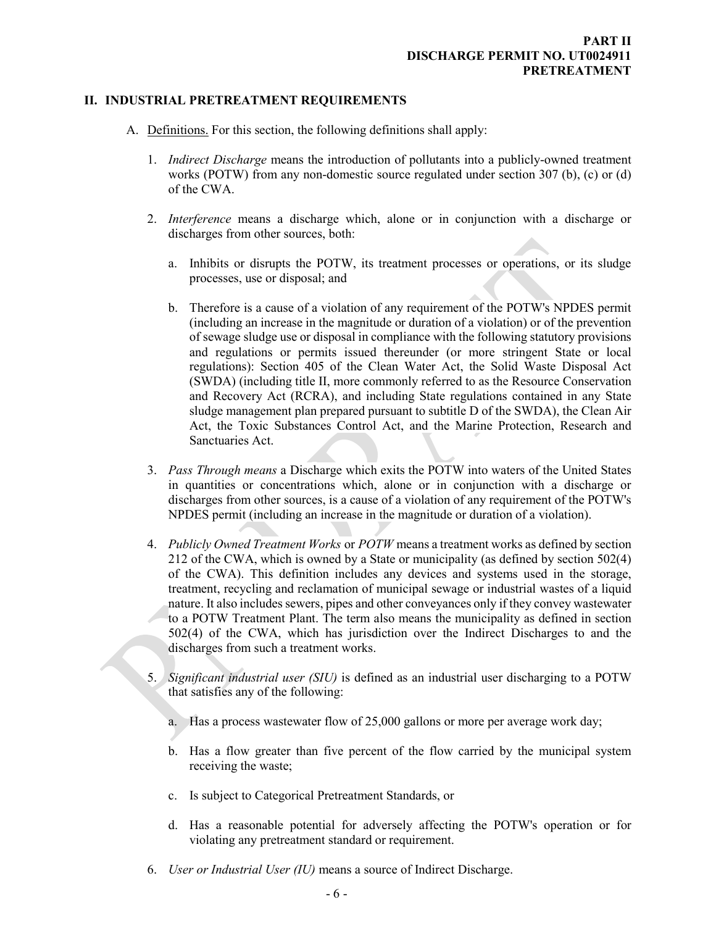#### **II. INDUSTRIAL PRETREATMENT REQUIREMENTS**

- <span id="page-8-0"></span>A. Definitions. For this section, the following definitions shall apply:
	- 1. *Indirect Discharge* means the introduction of pollutants into a publicly-owned treatment works (POTW) from any non-domestic source regulated under section 307 (b), (c) or (d) of the CWA.
	- 2. *Interference* means a discharge which, alone or in conjunction with a discharge or discharges from other sources, both:
		- a. Inhibits or disrupts the POTW, its treatment processes or operations, or its sludge processes, use or disposal; and
		- b. Therefore is a cause of a violation of any requirement of the POTW's NPDES permit (including an increase in the magnitude or duration of a violation) or of the prevention of sewage sludge use or disposal in compliance with the following statutory provisions and regulations or permits issued thereunder (or more stringent State or local regulations): Section 405 of the Clean Water Act, the Solid Waste Disposal Act (SWDA) (including title II, more commonly referred to as the Resource Conservation and Recovery Act (RCRA), and including State regulations contained in any State sludge management plan prepared pursuant to subtitle D of the SWDA), the Clean Air Act, the Toxic Substances Control Act, and the Marine Protection, Research and Sanctuaries Act.
	- 3. *Pass Through means* a Discharge which exits the POTW into waters of the United States in quantities or concentrations which, alone or in conjunction with a discharge or discharges from other sources, is a cause of a violation of any requirement of the POTW's NPDES permit (including an increase in the magnitude or duration of a violation).
	- 4. *Publicly Owned Treatment Works* or *POTW* means a treatment works as defined by section 212 of the CWA, which is owned by a State or municipality (as defined by section 502(4) of the CWA). This definition includes any devices and systems used in the storage, treatment, recycling and reclamation of municipal sewage or industrial wastes of a liquid nature. It also includes sewers, pipes and other conveyances only if they convey wastewater to a POTW Treatment Plant. The term also means the municipality as defined in section 502(4) of the CWA, which has jurisdiction over the Indirect Discharges to and the discharges from such a treatment works.
	- 5. *Significant industrial user (SIU)* is defined as an industrial user discharging to a POTW that satisfies any of the following:
		- a. Has a process wastewater flow of 25,000 gallons or more per average work day;
		- b. Has a flow greater than five percent of the flow carried by the municipal system receiving the waste;
		- c. Is subject to Categorical Pretreatment Standards, or
		- d. Has a reasonable potential for adversely affecting the POTW's operation or for violating any pretreatment standard or requirement.
	- 6. *User or Industrial User (IU)* means a source of Indirect Discharge.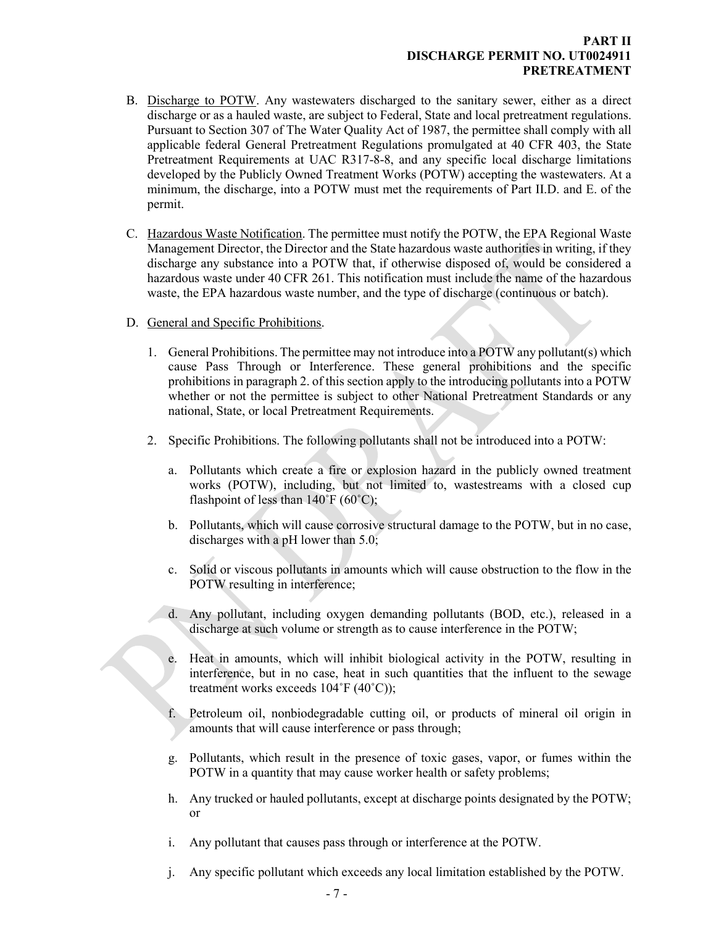## **PART II DISCHARGE PERMIT NO. UT0024911 PRETREATMENT**

- B. Discharge to POTW. Any wastewaters discharged to the sanitary sewer, either as a direct discharge or as a hauled waste, are subject to Federal, State and local pretreatment regulations. Pursuant to Section 307 of The Water Quality Act of 1987, the permittee shall comply with all applicable federal General Pretreatment Regulations promulgated at 40 CFR 403, the State Pretreatment Requirements at UAC R317-8-8, and any specific local discharge limitations developed by the Publicly Owned Treatment Works (POTW) accepting the wastewaters. At a minimum, the discharge, into a POTW must met the requirements of Part II.D. and E. of the permit.
- C. Hazardous Waste Notification. The permittee must notify the POTW, the EPA Regional Waste Management Director, the Director and the State hazardous waste authorities in writing, if they discharge any substance into a POTW that, if otherwise disposed of, would be considered a hazardous waste under 40 CFR 261. This notification must include the name of the hazardous waste, the EPA hazardous waste number, and the type of discharge (continuous or batch).
- D. General and Specific Prohibitions.
	- 1. General Prohibitions. The permittee may not introduce into a POTW any pollutant(s) which cause Pass Through or Interference. These general prohibitions and the specific prohibitions in paragraph 2. of this section apply to the introducing pollutants into a POTW whether or not the permittee is subject to other National Pretreatment Standards or any national, State, or local Pretreatment Requirements.
	- 2. Specific Prohibitions. The following pollutants shall not be introduced into a POTW:
		- a. Pollutants which create a fire or explosion hazard in the publicly owned treatment works (POTW), including, but not limited to, wastestreams with a closed cup flashpoint of less than  $140^{\circ}F(60^{\circ}C)$ ;
		- b. Pollutants, which will cause corrosive structural damage to the POTW, but in no case, discharges with a pH lower than 5.0;
		- c. Solid or viscous pollutants in amounts which will cause obstruction to the flow in the POTW resulting in interference;
		- d. Any pollutant, including oxygen demanding pollutants (BOD, etc.), released in a discharge at such volume or strength as to cause interference in the POTW;
		- e. Heat in amounts, which will inhibit biological activity in the POTW, resulting in interference, but in no case, heat in such quantities that the influent to the sewage treatment works exceeds 104˚F (40˚C));
		- f. Petroleum oil, nonbiodegradable cutting oil, or products of mineral oil origin in amounts that will cause interference or pass through;
		- g. Pollutants, which result in the presence of toxic gases, vapor, or fumes within the POTW in a quantity that may cause worker health or safety problems;
		- h. Any trucked or hauled pollutants, except at discharge points designated by the POTW; or
		- i. Any pollutant that causes pass through or interference at the POTW.
		- j. Any specific pollutant which exceeds any local limitation established by the POTW.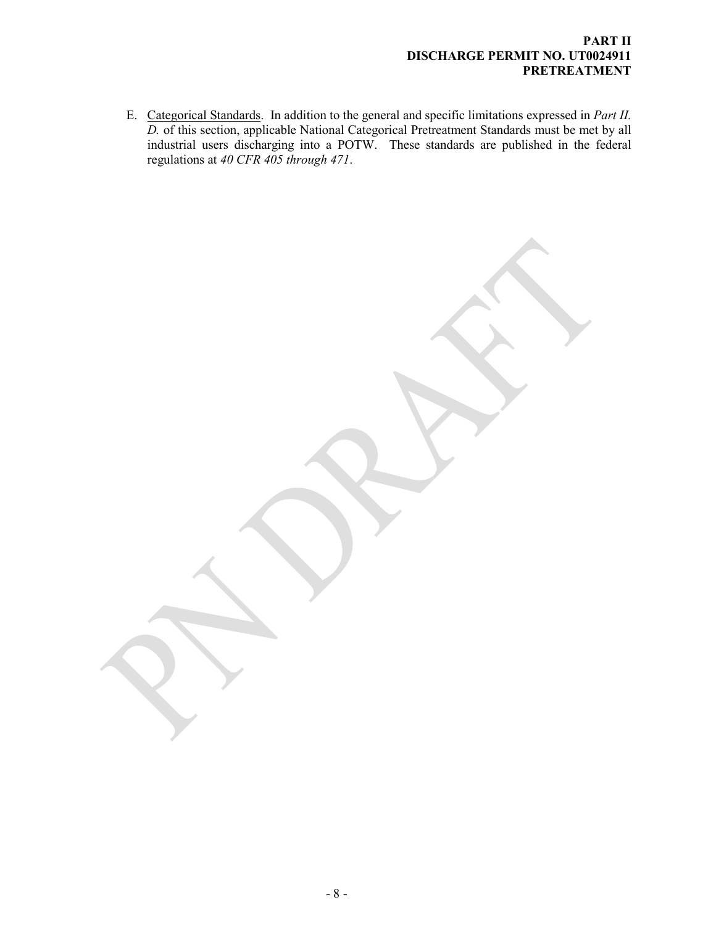#### **PART II DISCHARGE PERMIT NO. UT0024911 PRETREATMENT**

E. Categorical Standards. In addition to the general and specific limitations expressed in *Part II. D.* of this section, applicable National Categorical Pretreatment Standards must be met by all industrial users discharging into a POTW. These standards are published in the federal regulations at *40 CFR 405 through 471*.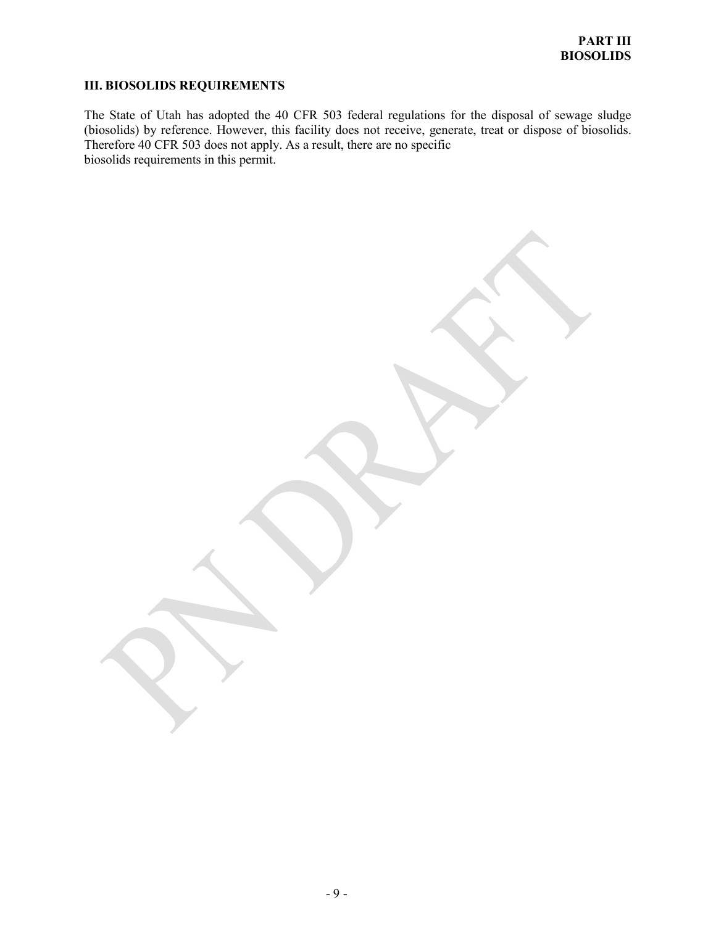# <span id="page-11-0"></span>**III. BIOSOLIDS REQUIREMENTS**

The State of Utah has adopted the 40 CFR 503 federal regulations for the disposal of sewage sludge (biosolids) by reference. However, this facility does not receive, generate, treat or dispose of biosolids. Therefore 40 CFR 503 does not apply. As a result, there are no specific biosolids requirements in this permit.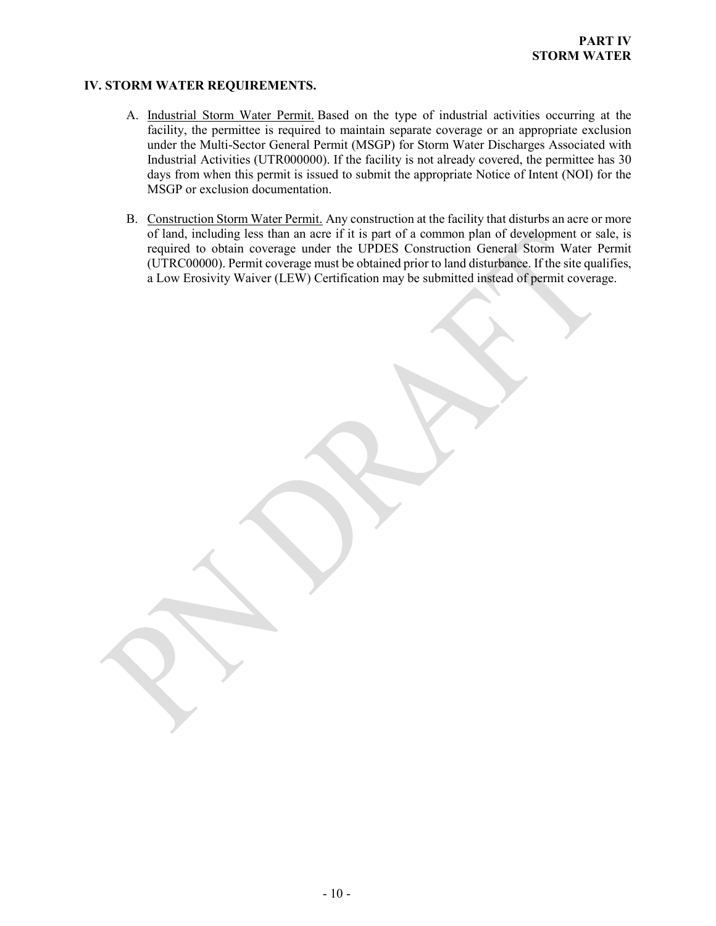## **IV. STORM WATER REQUIREMENTS.**

- <span id="page-12-0"></span>A. Industrial Storm Water Permit. Based on the type of industrial activities occurring at the facility, the permittee is required to maintain separate coverage or an appropriate exclusion under the Multi-Sector General Permit (MSGP) for Storm Water Discharges Associated with Industrial Activities (UTR000000). If the facility is not already covered, the permittee has 30 days from when this permit is issued to submit the appropriate Notice of Intent (NOI) for the MSGP or exclusion documentation.
- B. Construction Storm Water Permit. Any construction at the facility that disturbs an acre or more of land, including less than an acre if it is part of a common plan of development or sale, is required to obtain coverage under the UPDES Construction General Storm Water Permit (UTRC00000). Permit coverage must be obtained prior to land disturbance. If the site qualifies, a Low Erosivity Waiver (LEW) Certification may be submitted instead of permit coverage.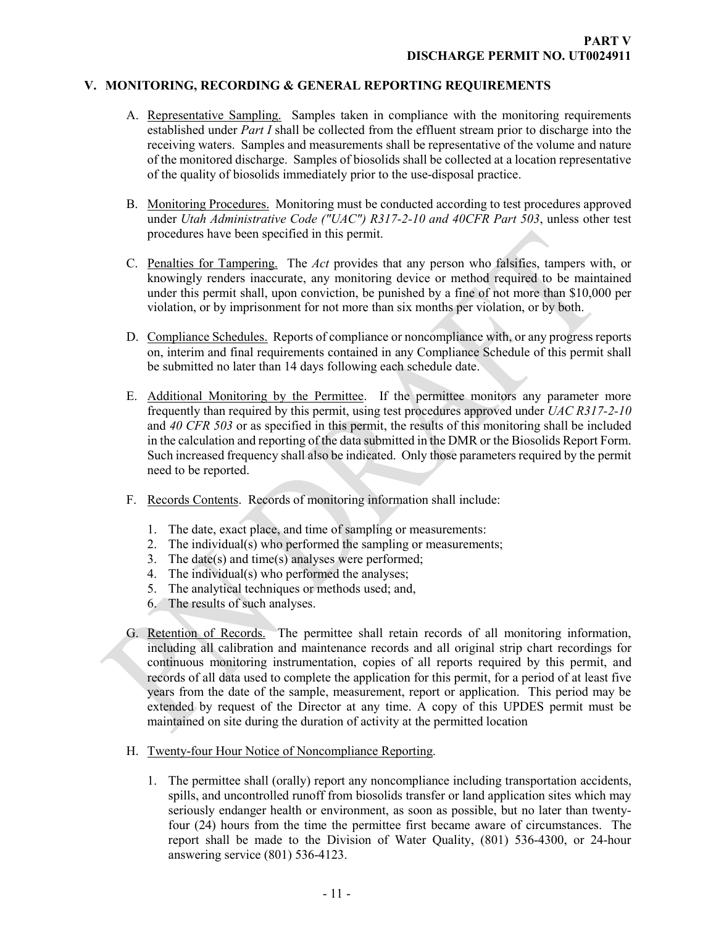#### **V. MONITORING, RECORDING & GENERAL REPORTING REQUIREMENTS**

- <span id="page-13-1"></span><span id="page-13-0"></span>A. Representative Sampling. Samples taken in compliance with the monitoring requirements established under *Part I* shall be collected from the effluent stream prior to discharge into the receiving waters. Samples and measurements shall be representative of the volume and nature of the monitored discharge. Samples of biosolids shall be collected at a location representative of the quality of biosolids immediately prior to the use-disposal practice.
- <span id="page-13-2"></span>B. Monitoring Procedures. Monitoring must be conducted according to test procedures approved under *Utah Administrative Code ("UAC") R317-2-10 and 40CFR Part 503*, unless other test procedures have been specified in this permit.
- <span id="page-13-3"></span>C. Penalties for Tampering. The *Act* provides that any person who falsifies, tampers with, or knowingly renders inaccurate, any monitoring device or method required to be maintained under this permit shall, upon conviction, be punished by a fine of not more than \$10,000 per violation, or by imprisonment for not more than six months per violation, or by both.
- <span id="page-13-4"></span>D. Compliance Schedules. Reports of compliance or noncompliance with, or any progress reports on, interim and final requirements contained in any Compliance Schedule of this permit shall be submitted no later than 14 days following each schedule date.
- <span id="page-13-5"></span>E. Additional Monitoring by the Permittee. If the permittee monitors any parameter more frequently than required by this permit, using test procedures approved under *UAC R317-2-10*  and *40 CFR 503* or as specified in this permit, the results of this monitoring shall be included in the calculation and reporting of the data submitted in the DMR or the Biosolids Report Form. Such increased frequency shall also be indicated. Only those parameters required by the permit need to be reported.
- <span id="page-13-6"></span>F. Records Contents. Records of monitoring information shall include:
	- 1. The date, exact place, and time of sampling or measurements:
	- 2. The individual(s) who performed the sampling or measurements;
	- 3. The date(s) and time(s) analyses were performed;
	- 4. The individual(s) who performed the analyses;
	- 5. The analytical techniques or methods used; and,
	- 6. The results of such analyses.
- <span id="page-13-7"></span>G. Retention of Records. The permittee shall retain records of all monitoring information, including all calibration and maintenance records and all original strip chart recordings for continuous monitoring instrumentation, copies of all reports required by this permit, and records of all data used to complete the application for this permit, for a period of at least five years from the date of the sample, measurement, report or application. This period may be extended by request of the Director at any time. A copy of this UPDES permit must be maintained on site during the duration of activity at the permitted location
- <span id="page-13-8"></span>H. Twenty-four Hour Notice of Noncompliance Reporting.
	- 1. The permittee shall (orally) report any noncompliance including transportation accidents, spills, and uncontrolled runoff from biosolids transfer or land application sites which may seriously endanger health or environment, as soon as possible, but no later than twentyfour (24) hours from the time the permittee first became aware of circumstances. The report shall be made to the Division of Water Quality, (801) 536-4300, or 24-hour answering service (801) 536-4123.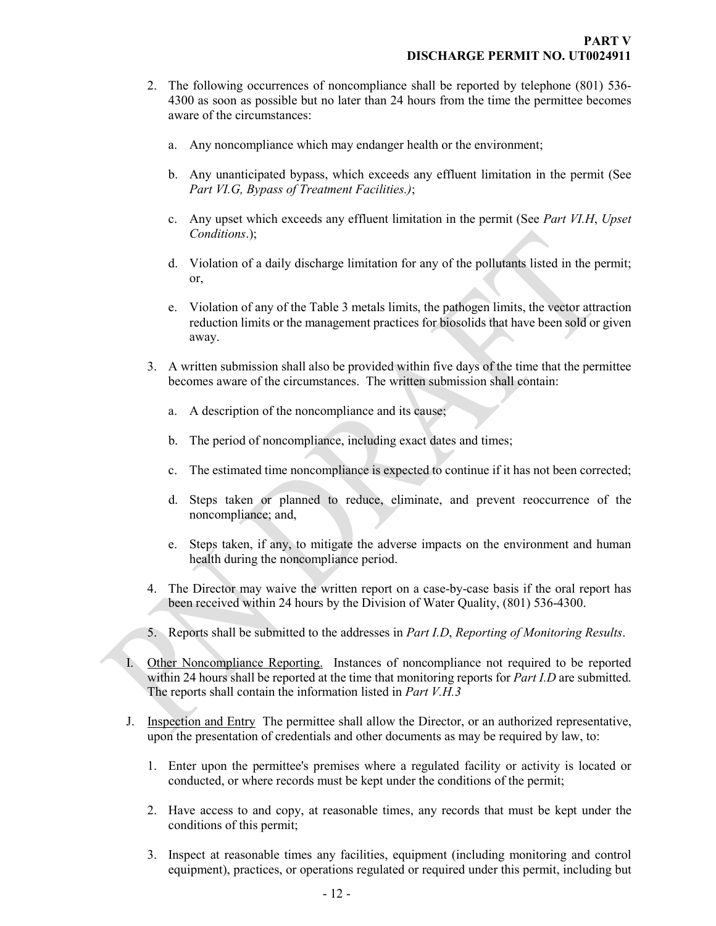- 2. The following occurrences of noncompliance shall be reported by telephone (801) 536- 4300 as soon as possible but no later than 24 hours from the time the permittee becomes aware of the circumstances:
	- a. Any noncompliance which may endanger health or the environment;
	- b. Any unanticipated bypass, which exceeds any effluent limitation in the permit (See *Part VI.G, Bypass of Treatment Facilities.)*;
	- c. Any upset which exceeds any effluent limitation in the permit (See *Part VI.H*, *Upset Conditions*.);
	- d. Violation of a daily discharge limitation for any of the pollutants listed in the permit; or,
	- e. Violation of any of the Table 3 metals limits, the pathogen limits, the vector attraction reduction limits or the management practices for biosolids that have been sold or given away.
- 3. A written submission shall also be provided within five days of the time that the permittee becomes aware of the circumstances. The written submission shall contain:
	- a. A description of the noncompliance and its cause;
	- b. The period of noncompliance, including exact dates and times;
	- c. The estimated time noncompliance is expected to continue if it has not been corrected;
	- d. Steps taken or planned to reduce, eliminate, and prevent reoccurrence of the noncompliance; and,
	- e. Steps taken, if any, to mitigate the adverse impacts on the environment and human health during the noncompliance period.
- 4. The Director may waive the written report on a case-by-case basis if the oral report has been received within 24 hours by the Division of Water Quality, (801) 536-4300.
- <span id="page-14-0"></span>5. Reports shall be submitted to the addresses in *Part I.D*, *Reporting of Monitoring Results*.
- I. Other Noncompliance Reporting. Instances of noncompliance not required to be reported within 24 hours shall be reported at the time that monitoring reports for *Part I.D* are submitted. The reports shall contain the information listed in *Part V.H.3*
- <span id="page-14-1"></span>J. Inspection and Entry The permittee shall allow the Director, or an authorized representative, upon the presentation of credentials and other documents as may be required by law, to:
	- 1. Enter upon the permittee's premises where a regulated facility or activity is located or conducted, or where records must be kept under the conditions of the permit;
	- 2. Have access to and copy, at reasonable times, any records that must be kept under the conditions of this permit;
	- 3. Inspect at reasonable times any facilities, equipment (including monitoring and control equipment), practices, or operations regulated or required under this permit, including but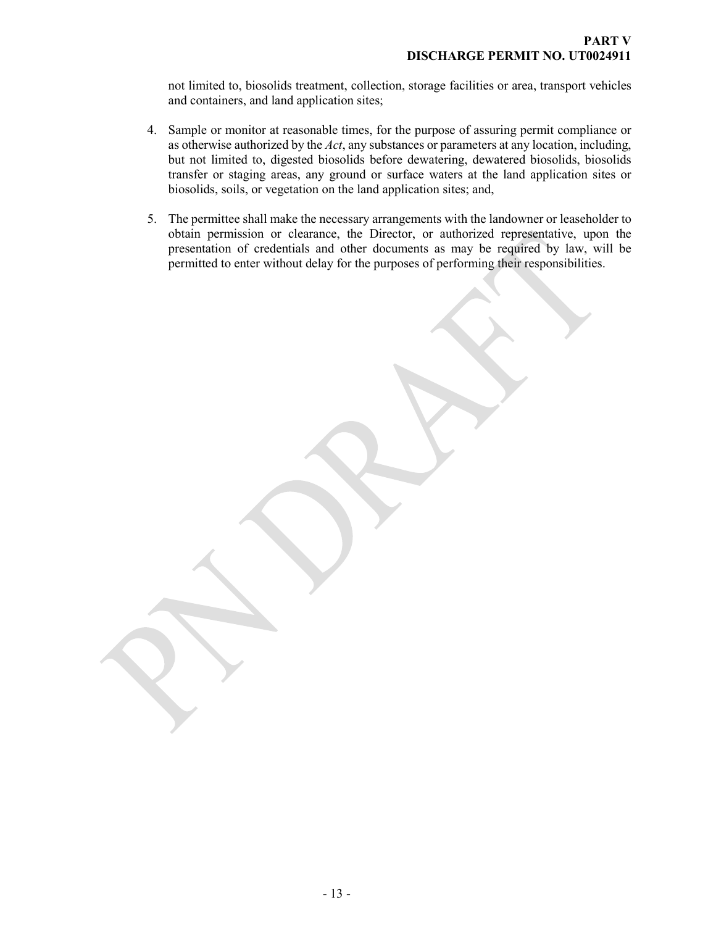not limited to, biosolids treatment, collection, storage facilities or area, transport vehicles and containers, and land application sites;

- 4. Sample or monitor at reasonable times, for the purpose of assuring permit compliance or as otherwise authorized by the *Act*, any substances or parameters at any location, including, but not limited to, digested biosolids before dewatering, dewatered biosolids, biosolids transfer or staging areas, any ground or surface waters at the land application sites or biosolids, soils, or vegetation on the land application sites; and,
- 5. The permittee shall make the necessary arrangements with the landowner or leaseholder to obtain permission or clearance, the Director, or authorized representative, upon the presentation of credentials and other documents as may be required by law, will be permitted to enter without delay for the purposes of performing their responsibilities.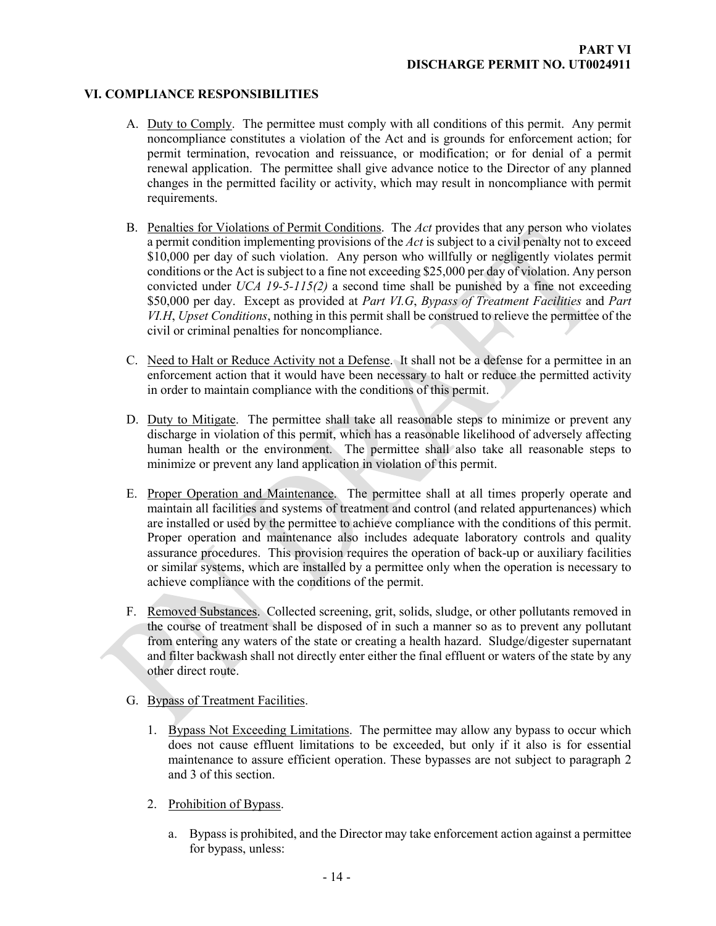## **VI. COMPLIANCE RESPONSIBILITIES**

- <span id="page-16-1"></span><span id="page-16-0"></span>A. Duty to Comply. The permittee must comply with all conditions of this permit. Any permit noncompliance constitutes a violation of the Act and is grounds for enforcement action; for permit termination, revocation and reissuance, or modification; or for denial of a permit renewal application. The permittee shall give advance notice to the Director of any planned changes in the permitted facility or activity, which may result in noncompliance with permit requirements.
- <span id="page-16-2"></span>B. Penalties for Violations of Permit Conditions. The *Act* provides that any person who violates a permit condition implementing provisions of the *Act* is subject to a civil penalty not to exceed \$10,000 per day of such violation. Any person who willfully or negligently violates permit conditions or the Act is subject to a fine not exceeding \$25,000 per day of violation. Any person convicted under *UCA 19-5-115(2)* a second time shall be punished by a fine not exceeding \$50,000 per day. Except as provided at *Part VI.G*, *Bypass of Treatment Facilities* and *Part VI.H*, *Upset Conditions*, nothing in this permit shall be construed to relieve the permittee of the civil or criminal penalties for noncompliance.
- <span id="page-16-3"></span>C. Need to Halt or Reduce Activity not a Defense. It shall not be a defense for a permittee in an enforcement action that it would have been necessary to halt or reduce the permitted activity in order to maintain compliance with the conditions of this permit.
- <span id="page-16-4"></span>D. Duty to Mitigate. The permittee shall take all reasonable steps to minimize or prevent any discharge in violation of this permit, which has a reasonable likelihood of adversely affecting human health or the environment. The permittee shall also take all reasonable steps to minimize or prevent any land application in violation of this permit.
- <span id="page-16-5"></span>E. Proper Operation and Maintenance. The permittee shall at all times properly operate and maintain all facilities and systems of treatment and control (and related appurtenances) which are installed or used by the permittee to achieve compliance with the conditions of this permit. Proper operation and maintenance also includes adequate laboratory controls and quality assurance procedures. This provision requires the operation of back-up or auxiliary facilities or similar systems, which are installed by a permittee only when the operation is necessary to achieve compliance with the conditions of the permit.
- <span id="page-16-6"></span>F. Removed Substances. Collected screening, grit, solids, sludge, or other pollutants removed in the course of treatment shall be disposed of in such a manner so as to prevent any pollutant from entering any waters of the state or creating a health hazard. Sludge/digester supernatant and filter backwash shall not directly enter either the final effluent or waters of the state by any other direct route.
- <span id="page-16-7"></span>G. Bypass of Treatment Facilities.
	- 1. Bypass Not Exceeding Limitations. The permittee may allow any bypass to occur which does not cause effluent limitations to be exceeded, but only if it also is for essential maintenance to assure efficient operation. These bypasses are not subject to paragraph 2 and 3 of this section.
	- 2. Prohibition of Bypass.
		- a. Bypass is prohibited, and the Director may take enforcement action against a permittee for bypass, unless: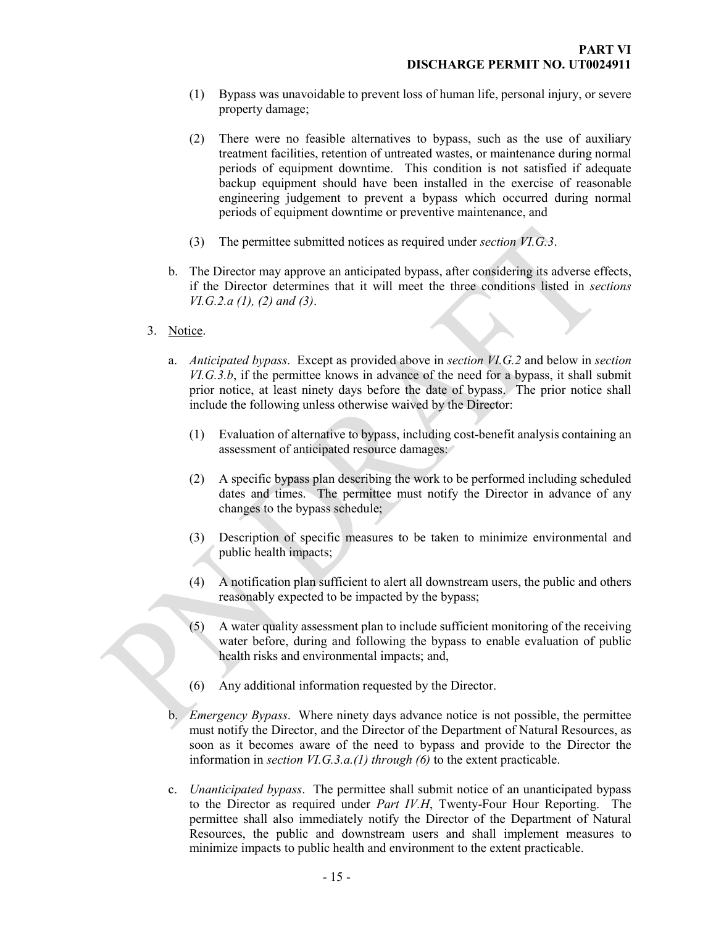- (1) Bypass was unavoidable to prevent loss of human life, personal injury, or severe property damage;
- (2) There were no feasible alternatives to bypass, such as the use of auxiliary treatment facilities, retention of untreated wastes, or maintenance during normal periods of equipment downtime. This condition is not satisfied if adequate backup equipment should have been installed in the exercise of reasonable engineering judgement to prevent a bypass which occurred during normal periods of equipment downtime or preventive maintenance, and
- (3) The permittee submitted notices as required under *section VI.G.3*.
- b. The Director may approve an anticipated bypass, after considering its adverse effects, if the Director determines that it will meet the three conditions listed in *sections VI.G.2.a (1), (2) and (3)*.
- 3. Notice.
	- a. *Anticipated bypass*. Except as provided above in *section VI.G.2* and below in *section VI.G.3.b*, if the permittee knows in advance of the need for a bypass, it shall submit prior notice, at least ninety days before the date of bypass. The prior notice shall include the following unless otherwise waived by the Director:
		- (1) Evaluation of alternative to bypass, including cost-benefit analysis containing an assessment of anticipated resource damages:
		- (2) A specific bypass plan describing the work to be performed including scheduled dates and times. The permittee must notify the Director in advance of any changes to the bypass schedule;
		- (3) Description of specific measures to be taken to minimize environmental and public health impacts;
		- (4) A notification plan sufficient to alert all downstream users, the public and others reasonably expected to be impacted by the bypass;
		- (5) A water quality assessment plan to include sufficient monitoring of the receiving water before, during and following the bypass to enable evaluation of public health risks and environmental impacts; and,
		- (6) Any additional information requested by the Director.
	- b. *Emergency Bypass*. Where ninety days advance notice is not possible, the permittee must notify the Director, and the Director of the Department of Natural Resources, as soon as it becomes aware of the need to bypass and provide to the Director the information in *section VI.G.3.a.(1) through (6)* to the extent practicable.
	- c. *Unanticipated bypass*. The permittee shall submit notice of an unanticipated bypass to the Director as required under *Part IV.H*, Twenty-Four Hour Reporting. The permittee shall also immediately notify the Director of the Department of Natural Resources, the public and downstream users and shall implement measures to minimize impacts to public health and environment to the extent practicable.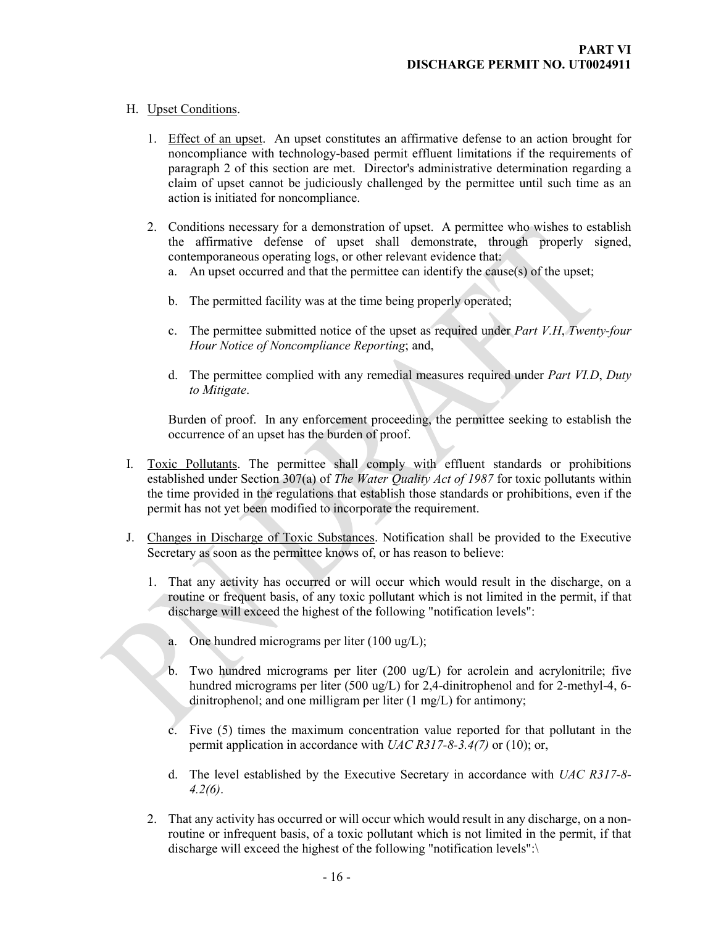## H. Upset Conditions.

- <span id="page-18-0"></span>1. Effect of an upset. An upset constitutes an affirmative defense to an action brought for noncompliance with technology-based permit effluent limitations if the requirements of paragraph 2 of this section are met. Director's administrative determination regarding a claim of upset cannot be judiciously challenged by the permittee until such time as an action is initiated for noncompliance.
- 2. Conditions necessary for a demonstration of upset. A permittee who wishes to establish the affirmative defense of upset shall demonstrate, through properly signed, contemporaneous operating logs, or other relevant evidence that:
	- a. An upset occurred and that the permittee can identify the cause(s) of the upset;
	- b. The permitted facility was at the time being properly operated;
	- c. The permittee submitted notice of the upset as required under *Part V.H*, *Twenty-four Hour Notice of Noncompliance Reporting*; and,
	- d. The permittee complied with any remedial measures required under *Part VI.D*, *Duty to Mitigate*.

<span id="page-18-2"></span><span id="page-18-1"></span>Burden of proof. In any enforcement proceeding, the permittee seeking to establish the occurrence of an upset has the burden of proof.

- I. Toxic Pollutants. The permittee shall comply with effluent standards or prohibitions established under Section 307(a) of *The Water Quality Act of 1987* for toxic pollutants within the time provided in the regulations that establish those standards or prohibitions, even if the permit has not yet been modified to incorporate the requirement.
- J. Changes in Discharge of Toxic Substances. Notification shall be provided to the Executive Secretary as soon as the permittee knows of, or has reason to believe:
	- 1. That any activity has occurred or will occur which would result in the discharge, on a routine or frequent basis, of any toxic pollutant which is not limited in the permit, if that discharge will exceed the highest of the following "notification levels":
		- a. One hundred micrograms per liter (100 ug/L);
		- b. Two hundred micrograms per liter (200 ug/L) for acrolein and acrylonitrile; five hundred micrograms per liter (500 ug/L) for 2,4-dinitrophenol and for 2-methyl-4, 6 dinitrophenol; and one milligram per liter (1 mg/L) for antimony;
		- c. Five (5) times the maximum concentration value reported for that pollutant in the permit application in accordance with *UAC R317-8-3.4(7)* or (10); or,
		- d. The level established by the Executive Secretary in accordance with *UAC R317-8- 4.2(6)*.
	- 2. That any activity has occurred or will occur which would result in any discharge, on a nonroutine or infrequent basis, of a toxic pollutant which is not limited in the permit, if that discharge will exceed the highest of the following "notification levels":\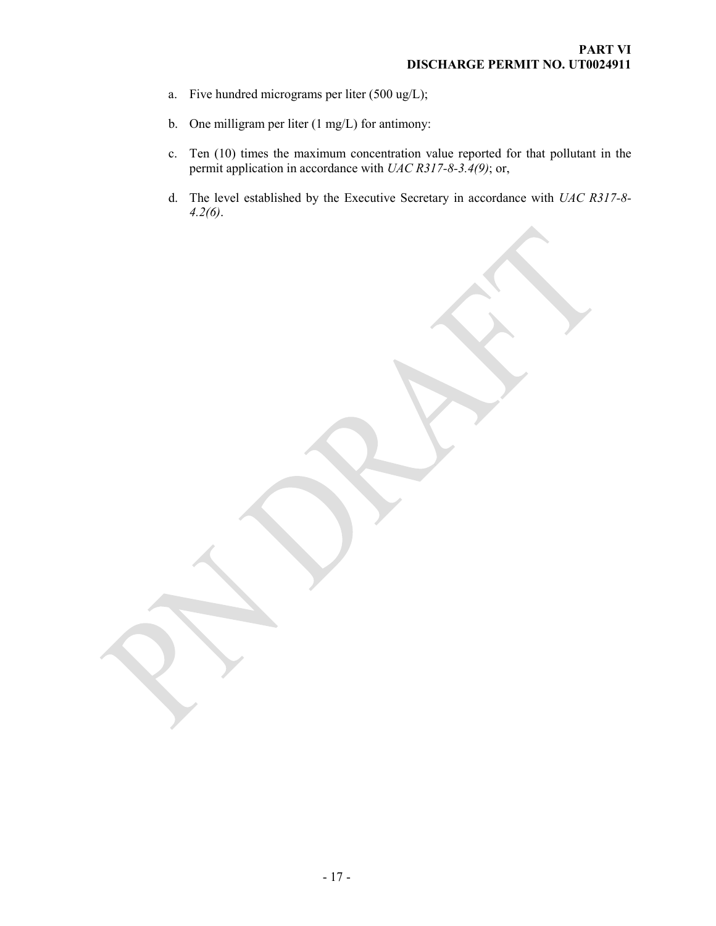- a. Five hundred micrograms per liter (500 ug/L);
- b. One milligram per liter (1 mg/L) for antimony:
- c. Ten (10) times the maximum concentration value reported for that pollutant in the permit application in accordance with *UAC R317-8-3.4(9)*; or,
- d. The level established by the Executive Secretary in accordance with *UAC R317-8- 4.2(6)*.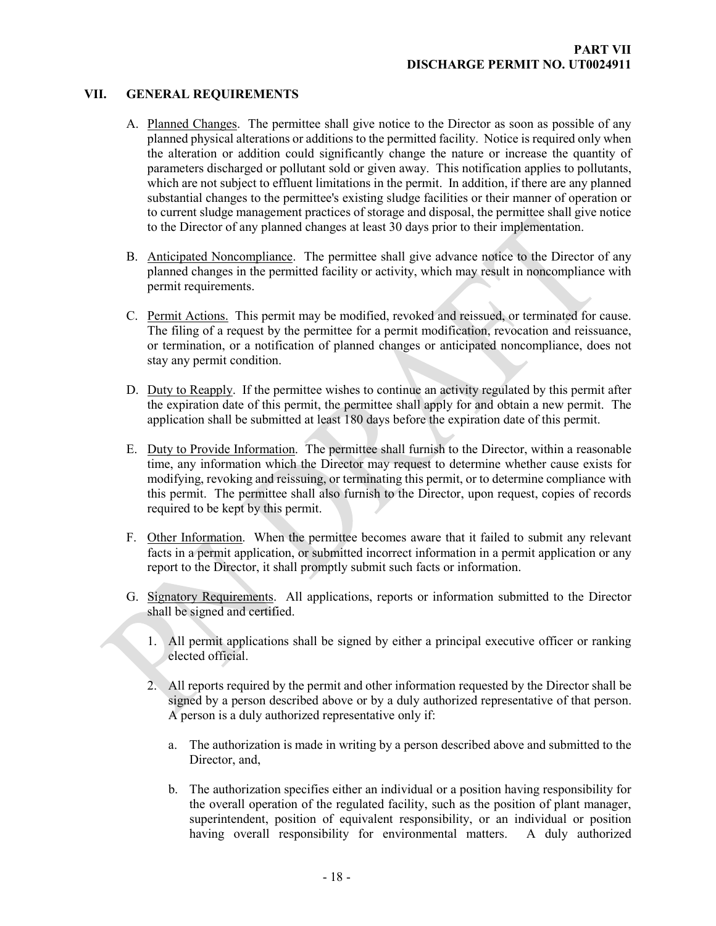## **VII. GENERAL REQUIREMENTS**

- <span id="page-20-1"></span><span id="page-20-0"></span>A. Planned Changes. The permittee shall give notice to the Director as soon as possible of any planned physical alterations or additions to the permitted facility. Notice is required only when the alteration or addition could significantly change the nature or increase the quantity of parameters discharged or pollutant sold or given away. This notification applies to pollutants, which are not subject to effluent limitations in the permit. In addition, if there are any planned substantial changes to the permittee's existing sludge facilities or their manner of operation or to current sludge management practices of storage and disposal, the permittee shall give notice to the Director of any planned changes at least 30 days prior to their implementation.
- <span id="page-20-2"></span>B. Anticipated Noncompliance. The permittee shall give advance notice to the Director of any planned changes in the permitted facility or activity, which may result in noncompliance with permit requirements.
- <span id="page-20-3"></span>C. Permit Actions. This permit may be modified, revoked and reissued, or terminated for cause. The filing of a request by the permittee for a permit modification, revocation and reissuance, or termination, or a notification of planned changes or anticipated noncompliance, does not stay any permit condition.
- <span id="page-20-4"></span>D. Duty to Reapply. If the permittee wishes to continue an activity regulated by this permit after the expiration date of this permit, the permittee shall apply for and obtain a new permit. The application shall be submitted at least 180 days before the expiration date of this permit.
- <span id="page-20-5"></span>E. Duty to Provide Information. The permittee shall furnish to the Director, within a reasonable time, any information which the Director may request to determine whether cause exists for modifying, revoking and reissuing, or terminating this permit, or to determine compliance with this permit. The permittee shall also furnish to the Director, upon request, copies of records required to be kept by this permit.
- <span id="page-20-6"></span>F. Other Information. When the permittee becomes aware that it failed to submit any relevant facts in a permit application, or submitted incorrect information in a permit application or any report to the Director, it shall promptly submit such facts or information.
- <span id="page-20-7"></span>G. Signatory Requirements. All applications, reports or information submitted to the Director shall be signed and certified.
	- 1. All permit applications shall be signed by either a principal executive officer or ranking elected official.
	- 2. All reports required by the permit and other information requested by the Director shall be signed by a person described above or by a duly authorized representative of that person. A person is a duly authorized representative only if:
		- a. The authorization is made in writing by a person described above and submitted to the Director, and,
		- b. The authorization specifies either an individual or a position having responsibility for the overall operation of the regulated facility, such as the position of plant manager, superintendent, position of equivalent responsibility, or an individual or position having overall responsibility for environmental matters. A duly authorized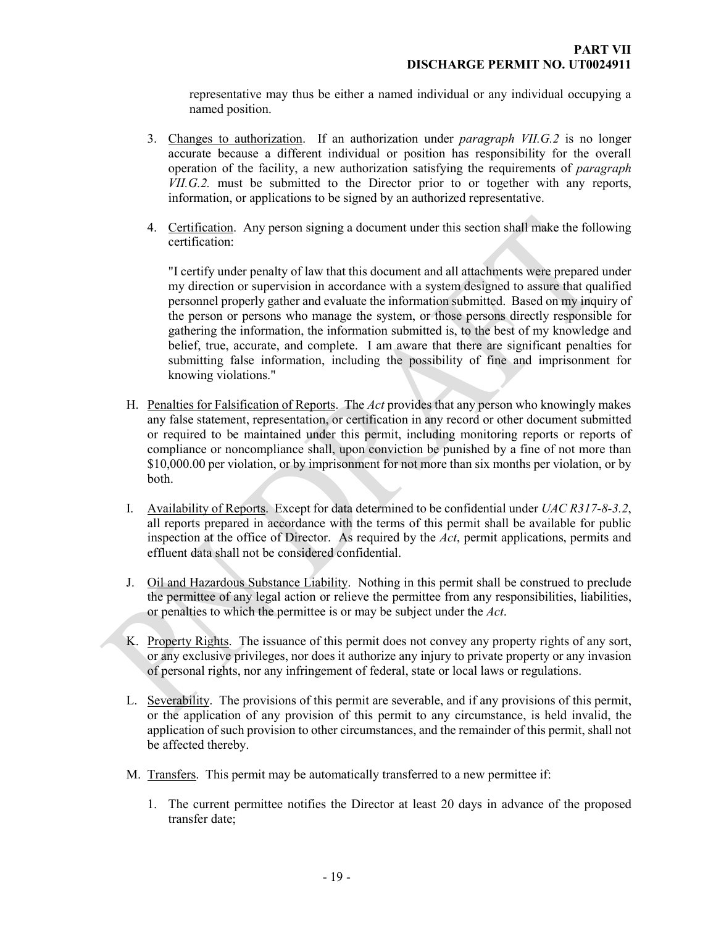representative may thus be either a named individual or any individual occupying a named position.

- 3. Changes to authorization. If an authorization under *paragraph VII.G.2* is no longer accurate because a different individual or position has responsibility for the overall operation of the facility, a new authorization satisfying the requirements of *paragraph VII.G.2.* must be submitted to the Director prior to or together with any reports, information, or applications to be signed by an authorized representative.
- 4. Certification. Any person signing a document under this section shall make the following certification:

"I certify under penalty of law that this document and all attachments were prepared under my direction or supervision in accordance with a system designed to assure that qualified personnel properly gather and evaluate the information submitted. Based on my inquiry of the person or persons who manage the system, or those persons directly responsible for gathering the information, the information submitted is, to the best of my knowledge and belief, true, accurate, and complete. I am aware that there are significant penalties for submitting false information, including the possibility of fine and imprisonment for knowing violations."

- <span id="page-21-0"></span>H. Penalties for Falsification of Reports. The *Act* provides that any person who knowingly makes any false statement, representation, or certification in any record or other document submitted or required to be maintained under this permit, including monitoring reports or reports of compliance or noncompliance shall, upon conviction be punished by a fine of not more than \$10,000.00 per violation, or by imprisonment for not more than six months per violation, or by both.
- <span id="page-21-1"></span>I. Availability of Reports. Except for data determined to be confidential under *UAC R317-8-3.2*, all reports prepared in accordance with the terms of this permit shall be available for public inspection at the office of Director. As required by the *Act*, permit applications, permits and effluent data shall not be considered confidential.
- <span id="page-21-2"></span>J. Oil and Hazardous Substance Liability. Nothing in this permit shall be construed to preclude the permittee of any legal action or relieve the permittee from any responsibilities, liabilities, or penalties to which the permittee is or may be subject under the *Act*.
- <span id="page-21-3"></span>K. Property Rights. The issuance of this permit does not convey any property rights of any sort, or any exclusive privileges, nor does it authorize any injury to private property or any invasion of personal rights, nor any infringement of federal, state or local laws or regulations.
- <span id="page-21-4"></span>L. Severability. The provisions of this permit are severable, and if any provisions of this permit, or the application of any provision of this permit to any circumstance, is held invalid, the application of such provision to other circumstances, and the remainder of this permit, shall not be affected thereby.
- <span id="page-21-5"></span>M. Transfers. This permit may be automatically transferred to a new permittee if:
	- 1. The current permittee notifies the Director at least 20 days in advance of the proposed transfer date;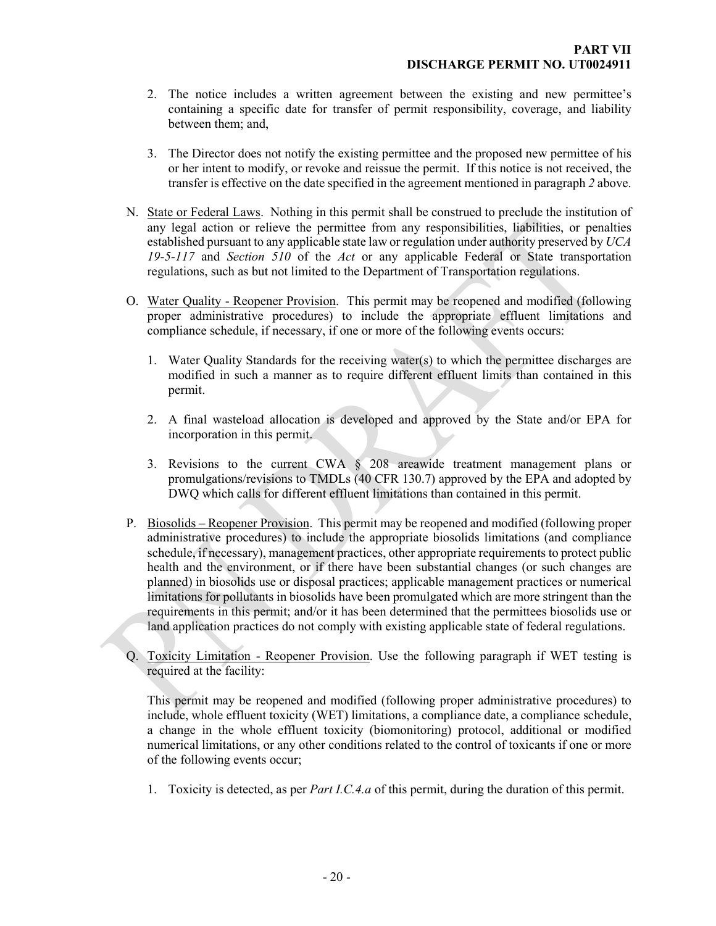- 2. The notice includes a written agreement between the existing and new permittee's containing a specific date for transfer of permit responsibility, coverage, and liability between them; and,
- <span id="page-22-0"></span>3. The Director does not notify the existing permittee and the proposed new permittee of his or her intent to modify, or revoke and reissue the permit. If this notice is not received, the transfer is effective on the date specified in the agreement mentioned in paragraph *2* above.
- N. State or Federal Laws. Nothing in this permit shall be construed to preclude the institution of any legal action or relieve the permittee from any responsibilities, liabilities, or penalties established pursuant to any applicable state law or regulation under authority preserved by *UCA 19-5-117* and *Section 510* of the *Act* or any applicable Federal or State transportation regulations, such as but not limited to the Department of Transportation regulations.
- <span id="page-22-1"></span>O. Water Quality - Reopener Provision. This permit may be reopened and modified (following proper administrative procedures) to include the appropriate effluent limitations and compliance schedule, if necessary, if one or more of the following events occurs:
	- 1. Water Quality Standards for the receiving water(s) to which the permittee discharges are modified in such a manner as to require different effluent limits than contained in this permit.
	- 2. A final wasteload allocation is developed and approved by the State and/or EPA for incorporation in this permit.
	- 3. Revisions to the current CWA § 208 areawide treatment management plans or promulgations/revisions to TMDLs (40 CFR 130.7) approved by the EPA and adopted by DWQ which calls for different effluent limitations than contained in this permit.
- <span id="page-22-2"></span>P. Biosolids – Reopener Provision. This permit may be reopened and modified (following proper administrative procedures) to include the appropriate biosolids limitations (and compliance schedule, if necessary), management practices, other appropriate requirements to protect public health and the environment, or if there have been substantial changes (or such changes are planned) in biosolids use or disposal practices; applicable management practices or numerical limitations for pollutants in biosolids have been promulgated which are more stringent than the requirements in this permit; and/or it has been determined that the permittees biosolids use or land application practices do not comply with existing applicable state of federal regulations.
- Q. Toxicity Limitation Reopener Provision. Use the following paragraph if WET testing is required at the facility:

<span id="page-22-3"></span>This permit may be reopened and modified (following proper administrative procedures) to include, whole effluent toxicity (WET) limitations, a compliance date, a compliance schedule, a change in the whole effluent toxicity (biomonitoring) protocol, additional or modified numerical limitations, or any other conditions related to the control of toxicants if one or more of the following events occur;

1. Toxicity is detected, as per *Part I.C.4.a* of this permit, during the duration of this permit.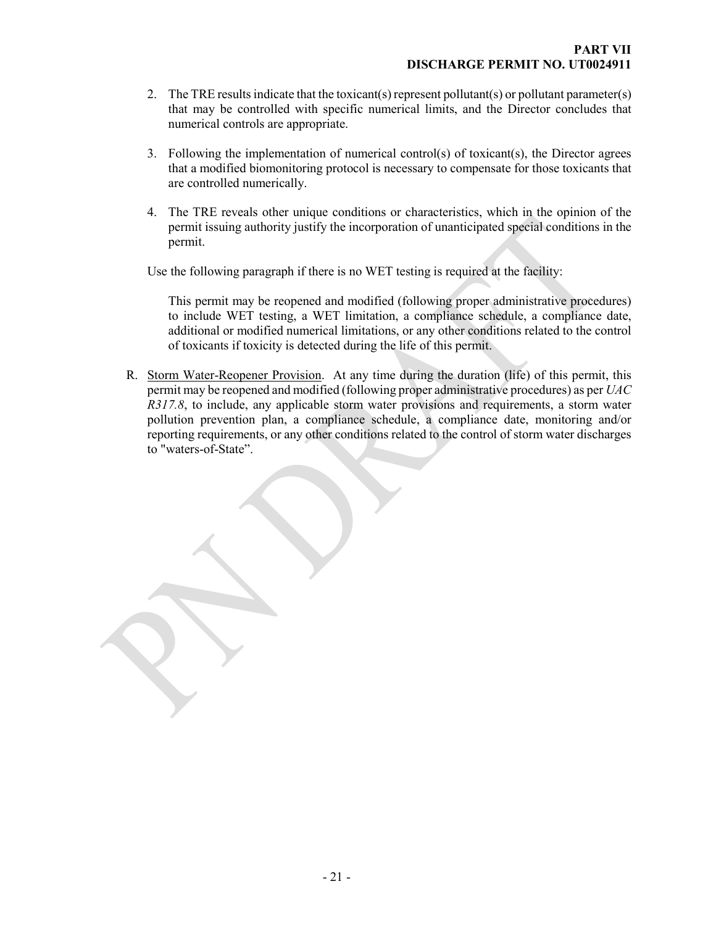- 2. The TRE results indicate that the toxicant(s) represent pollutant(s) or pollutant parameter(s) that may be controlled with specific numerical limits, and the Director concludes that numerical controls are appropriate.
- 3. Following the implementation of numerical control(s) of toxicant(s), the Director agrees that a modified biomonitoring protocol is necessary to compensate for those toxicants that are controlled numerically.
- 4. The TRE reveals other unique conditions or characteristics, which in the opinion of the permit issuing authority justify the incorporation of unanticipated special conditions in the permit.

Use the following paragraph if there is no WET testing is required at the facility:

<span id="page-23-0"></span>This permit may be reopened and modified (following proper administrative procedures) to include WET testing, a WET limitation, a compliance schedule, a compliance date, additional or modified numerical limitations, or any other conditions related to the control of toxicants if toxicity is detected during the life of this permit.

R. Storm Water-Reopener Provision. At any time during the duration (life) of this permit, this permit may be reopened and modified (following proper administrative procedures) as per *UAC R317.8*, to include, any applicable storm water provisions and requirements, a storm water pollution prevention plan, a compliance schedule, a compliance date, monitoring and/or reporting requirements, or any other conditions related to the control of storm water discharges to "waters-of-State".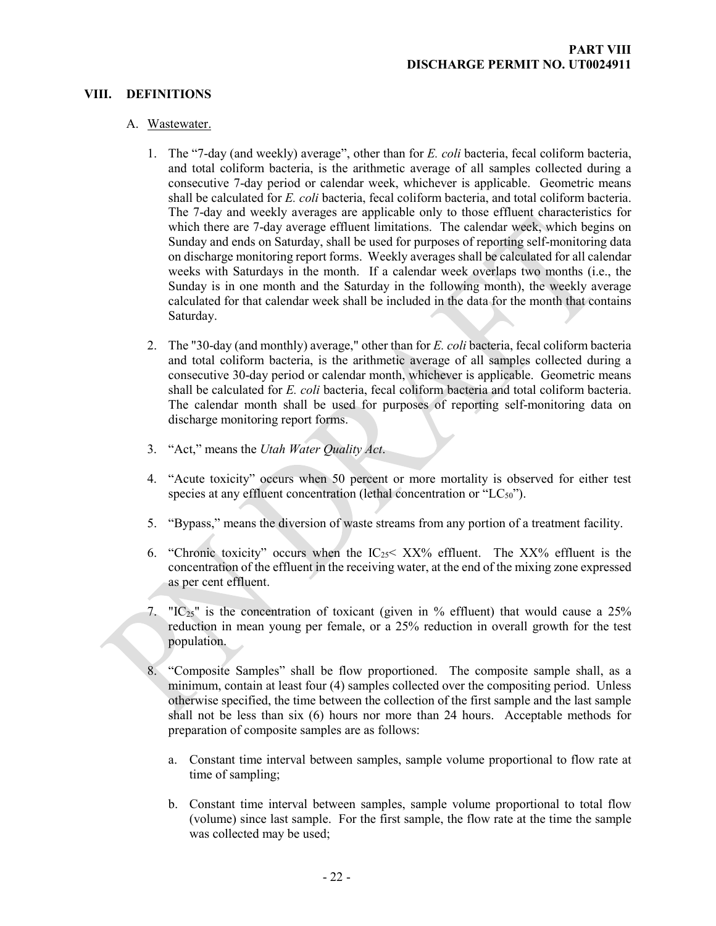#### **VIII. DEFINITIONS**

#### A. Wastewater.

- <span id="page-24-1"></span><span id="page-24-0"></span>1. The "7-day (and weekly) average", other than for *E. coli* bacteria, fecal coliform bacteria, and total coliform bacteria, is the arithmetic average of all samples collected during a consecutive 7-day period or calendar week, whichever is applicable. Geometric means shall be calculated for *E. coli* bacteria, fecal coliform bacteria, and total coliform bacteria. The 7-day and weekly averages are applicable only to those effluent characteristics for which there are 7-day average effluent limitations. The calendar week, which begins on Sunday and ends on Saturday, shall be used for purposes of reporting self-monitoring data on discharge monitoring report forms. Weekly averages shall be calculated for all calendar weeks with Saturdays in the month. If a calendar week overlaps two months (i.e., the Sunday is in one month and the Saturday in the following month), the weekly average calculated for that calendar week shall be included in the data for the month that contains Saturday.
- 2. The "30-day (and monthly) average," other than for *E. coli* bacteria, fecal coliform bacteria and total coliform bacteria, is the arithmetic average of all samples collected during a consecutive 30-day period or calendar month, whichever is applicable. Geometric means shall be calculated for *E. coli* bacteria, fecal coliform bacteria and total coliform bacteria. The calendar month shall be used for purposes of reporting self-monitoring data on discharge monitoring report forms.
- 3. "Act," means the *Utah Water Quality Act*.
- 4. "Acute toxicity" occurs when 50 percent or more mortality is observed for either test species at any effluent concentration (lethal concentration or " $LC_{50}$ ").
- 5. "Bypass," means the diversion of waste streams from any portion of a treatment facility.
- 6. "Chronic toxicity" occurs when the  $IC_{25}$ <  $XX\%$  effluent. The  $XX\%$  effluent is the concentration of the effluent in the receiving water, at the end of the mixing zone expressed as per cent effluent.
- 7. " $IC_{25}$ " is the concentration of toxicant (given in % effluent) that would cause a 25% reduction in mean young per female, or a 25% reduction in overall growth for the test population.
- 8. "Composite Samples" shall be flow proportioned. The composite sample shall, as a minimum, contain at least four (4) samples collected over the compositing period. Unless otherwise specified, the time between the collection of the first sample and the last sample shall not be less than six (6) hours nor more than 24 hours. Acceptable methods for preparation of composite samples are as follows:
	- a. Constant time interval between samples, sample volume proportional to flow rate at time of sampling;
	- b. Constant time interval between samples, sample volume proportional to total flow (volume) since last sample. For the first sample, the flow rate at the time the sample was collected may be used;